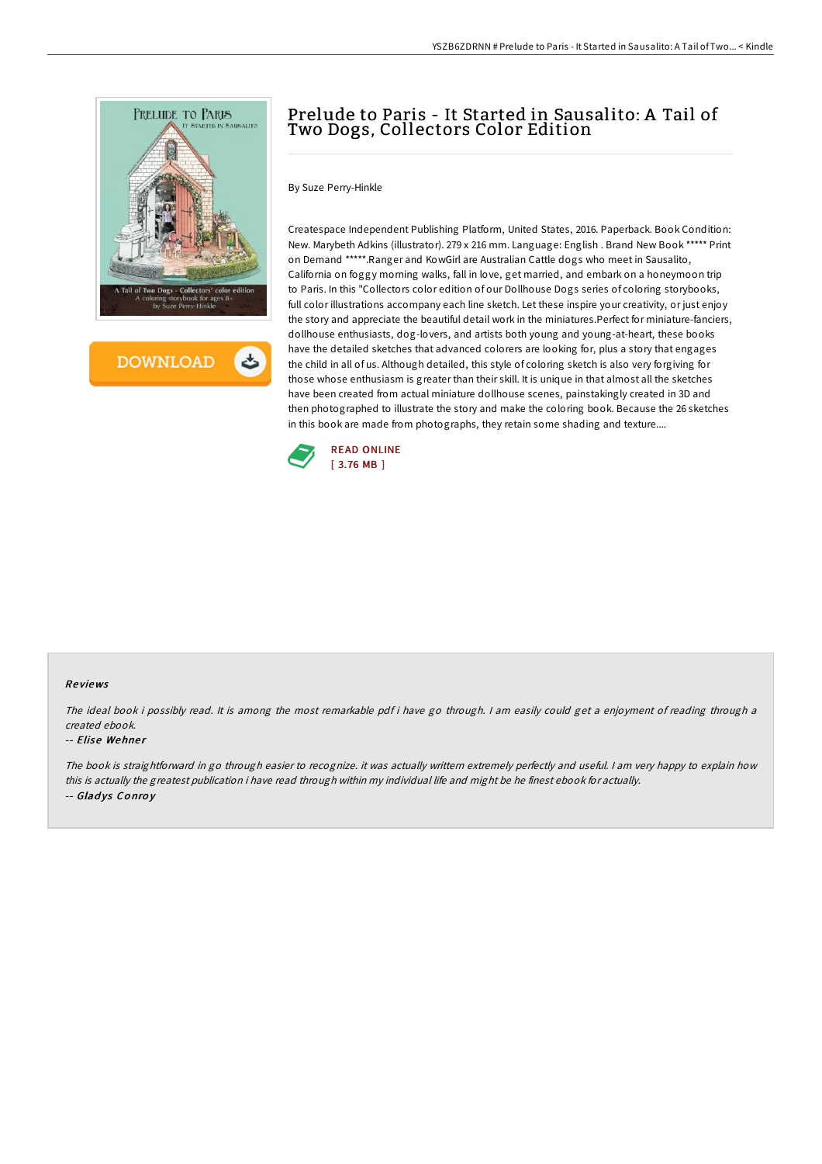

**DOWNLOAD** 

# Prelude to Paris - It Started in Sausalito: A Tail of Two Dogs, Collectors Color Edition

By Suze Perry-Hinkle

Createspace Independent Publishing Platform, United States, 2016. Paperback. Book Condition: New. Marybeth Adkins (illustrator). 279 x 216 mm. Language: English . Brand New Book \*\*\*\*\* Print on Demand \*\*\*\*\*.Ranger and KowGirl are Australian Cattle dogs who meet in Sausalito, California on foggy morning walks, fall in love, get married, and embark on a honeymoon trip to Paris. In this "Collectors color edition of our Dollhouse Dogs series of coloring storybooks, full color illustrations accompany each line sketch. Let these inspire your creativity, or just enjoy the story and appreciate the beautiful detail work in the miniatures.Perfect for miniature-fanciers, dollhouse enthusiasts, dog-lovers, and artists both young and young-at-heart, these books have the detailed sketches that advanced colorers are looking for, plus a story that engages the child in all of us. Although detailed, this style of coloring sketch is also very forgiving for those whose enthusiasm is greater than their skill. It is unique in that almost all the sketches have been created from actual miniature dollhouse scenes, painstakingly created in 3D and then photographed to illustrate the story and make the coloring book. Because the 26 sketches in this book are made from photographs, they retain some shading and texture....



## Re views

The ideal book i possibly read. It is among the most remarkable pdf i have go through. <sup>I</sup> am easily could get <sup>a</sup> enjoyment of reading through <sup>a</sup> created ebook.

#### -- Elise Wehner

The book is straightforward in go through easier to recognize. it was actually writtern extremely perfectly and useful. <sup>I</sup> am very happy to explain how this is actually the greatest publication i have read through within my individual life and might be he finest ebook for actually. -- Gladys Conroy